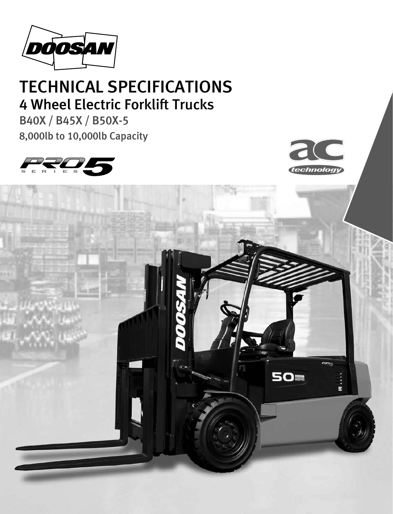

# TECHNICAL SPECIFICATIONS 4 Wheel Electric Forklift Trucks

B40X / B45X / B50X-5 8,000lb to 10,000lb Capacity





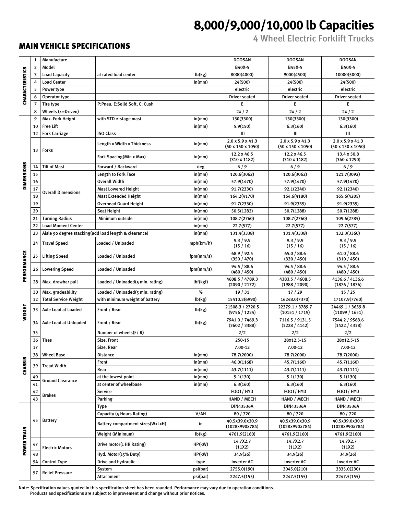## 8,000/9,000/10,000 lb Capacities

4 Wheel Electric Forklift Trucks

#### MAIN VEHICLE SPECIFICATIONS

┑

|                        | 1              | Manufacture                           |                                                       |           | DOOSAN                                            | <b>DOOSAN</b>                                     | DOOSAN                                                 |  |
|------------------------|----------------|---------------------------------------|-------------------------------------------------------|-----------|---------------------------------------------------|---------------------------------------------------|--------------------------------------------------------|--|
| <b>CHARACTERISTICS</b> | $\overline{2}$ | Model                                 |                                                       |           | B40X-5                                            | B45X-5                                            | B50X-5                                                 |  |
|                        | 3              | <b>Load Capacity</b>                  | at rated load center                                  | lb(kg)    | 8000(4000)                                        | 9000(4500)                                        | 10000(5000)                                            |  |
|                        | 4              | <b>Load Center</b>                    |                                                       | in(mm)    | 24(500)                                           | 24(500)                                           | 24(500)                                                |  |
|                        | 5              | Power type                            |                                                       |           | electric                                          | electric                                          | electric                                               |  |
|                        |                | Operator type                         |                                                       |           | <b>Driver seated</b>                              | <b>Driver seated</b>                              | <b>Driver seated</b>                                   |  |
|                        | $\overline{7}$ | Tire type                             | P:Pneu, E:Solid Soft, C: Cush                         |           | E                                                 | E                                                 | E                                                      |  |
|                        | 8              | Wheels (x=Driven)                     |                                                       |           | 2x/2                                              | 2x/2                                              | 2x/2                                                   |  |
|                        | 9              | Max. Fork Height                      | with STD 2-stage mast                                 | in(mm)    | 130(3300)                                         | 130(3300)                                         | 130(3300)                                              |  |
|                        | 10             | <b>Free Lift</b>                      |                                                       | in(mm)    |                                                   |                                                   |                                                        |  |
|                        | 12             |                                       | <b>ISO Class</b>                                      |           | 5.9(150)<br>III                                   | 6.3(160)<br>III                                   | 6.3(160)                                               |  |
|                        |                | <b>Fork Carriage</b>                  | Length x Width x Thickness                            | in(mm)    | 2.0 x 5.9 x 41.3<br>$(50 \times 150 \times 1050)$ | 2.0 x 5.9 x 41.3<br>$(50 \times 150 \times 1050)$ | Ш<br>2.0 x 5.9 x 41.3<br>$(50 \times 150 \times 1050)$ |  |
|                        | 13             | Forks                                 | Fork Spacing(Min x Max)                               | in(mm)    | 12.2 x 46.5<br>$(310 \times 1182)$                | 12.2 x 46.5<br>$(310 \times 1182)$                | 13.4 x 50.8<br>$(340 \times 1290)$                     |  |
|                        | 14             | <b>Tilt of Mast</b>                   | Forward / Backward                                    | deg       | 6/9                                               | 6/9                                               | 6/9                                                    |  |
| DIMENSIONS             | 15             |                                       | Length to Fork Face                                   | in(mm)    | 120.6(3062)                                       | 120.6(3062)                                       | 121.7(3092)                                            |  |
|                        | 16             |                                       | Overall Width                                         | in(mm)    | 57.9(1470)                                        | 57.9(1470)                                        | 57.9(1470)                                             |  |
|                        | 17             |                                       | <b>Mast Lowered Height</b>                            | in(mm)    | 91.7(2330)                                        | 92.1(2340)                                        | 92.1(2340)                                             |  |
|                        | 18             | <b>Overall Dimensions</b>             | <b>Mast Extended Height</b>                           | in(mm)    | 164.2(4170)                                       | 164.6(4180)                                       | 165.6(4205)                                            |  |
|                        | 19             |                                       | <b>Overhead Guard Height</b>                          | in(mm)    | 91.7(2330)                                        | 91.9(2335)                                        | 91.9(2335)                                             |  |
|                        | 20             |                                       | <b>Seat Height</b>                                    | in(mm)    | 50.5(1282)                                        | 50.7(1288)                                        | 50.7(1288)                                             |  |
|                        | 21             | <b>Turning Radius</b>                 | Minimum outside                                       | in(mm)    | 108.7(2760)                                       | 108.7(2760)                                       | 109.6(2785)                                            |  |
|                        | 22             | <b>Load Moment Center</b>             |                                                       | in(mm)    | 22.7(577)                                         | 22.7(577)                                         | 22.7(577)                                              |  |
|                        | 23             |                                       | Aisle 90 degree stacking(add load length & clearance) | in(mm)    | 131.4(3338)                                       | 131.4(3338)                                       | 132.3(3360)                                            |  |
|                        | 24             | <b>Travel Speed</b>                   | Loaded / Unloaded                                     | mph(km/h) | 9.3 / 9.9<br>(15/16)                              | 9.3 / 9.9<br>(15/16)                              | 9.3 / 9.9<br>(15/16)                                   |  |
| PERFORMANCE            | 25             | <b>Lifting Speed</b>                  | Loaded / Unloaded                                     | fpm(mm/s) | 68.9 / 92.5<br>(350 / 470)                        | 65.0 / 88.6<br>(330 / 450)                        | 61.0 / 88.6<br>(310 / 450)                             |  |
|                        | 26             | <b>Lowering Speed</b>                 | Loaded / Unloaded                                     | fpm(mm/s) | 94.5 / 88.6<br>(480 / 450)                        | 94.5 / 88.6<br>(480 / 450)                        | 94.5 / 88.6<br>(480 / 450)                             |  |
|                        | 28             | Max. drawbar pull                     | Loaded / Unloaded(5 min. rating)                      | lbf(kgf)  | 4608.5 / 4789.3<br>(2090 / 2172)                  | 4383.5 / 4608.5<br>(1988 / 2090)                  | 4136.6 / 4136.6<br>(1876 / 1876)                       |  |
|                        | 30             | Max. gradeability                     | Loaded / Unloaded(5 min. rating)                      | $\%$      | 19/31                                             | 17/29                                             | 15/25                                                  |  |
|                        | 32             | <b>Total Service Weight</b>           | with minimum weight of battery                        | lb(kg)    | 15410.3(6990)                                     | 16248.0(7370)                                     | 17107.9(7760)                                          |  |
| <b>WEIGHT</b>          | 33             | Axle Load at Loaded                   | Front / Rear                                          | lb(kg)    | 21508.3 / 2720.5<br>(9756 / 1234)                 | 22379.1 / 3789.7<br>(10151 / 1719)                | 24469.1 / 3639.8<br>(11099 / 1651)                     |  |
|                        | 34             | Axle Load at Unloaded<br>Front / Rear |                                                       | lb(kg)    | 7941.0 / 7469.3<br>(3602 / 3388)                  | 7116.5 / 9131.5<br>(3228 / 4142)                  | 7544.2 / 9563.6<br>(3422 / 4338)                       |  |
|                        | 35             |                                       | Number of wheels(F/R)                                 |           | 2/2                                               | 2/2                                               | 2/2                                                    |  |
|                        | 36             | <b>Tires</b>                          | Size, Front                                           |           | 250-15                                            | 28x12.5-15                                        | 28x12.5-15                                             |  |
|                        | 37             |                                       | Size, Rear                                            |           | $7.00 - 12$                                       | 7.00-12                                           | 7.00-12                                                |  |
|                        | 38             | <b>Wheel Base</b>                     | Distance                                              | in(mm)    | 78.7(2000)                                        | 78.7(2000)                                        | 78.7(2000)                                             |  |
| <b>CHASSIS</b>         |                |                                       | Front                                                 | in(mm)    | 46.0(1168)                                        | 45.7(1160)                                        | 45.7(1160)                                             |  |
|                        | 39             | <b>Tread Width</b>                    | Rear                                                  | in(mm)    | 43.7(1111)                                        | 43.7(1111)                                        | 43.7(1111)                                             |  |
|                        | 40             |                                       | at the lowest point                                   | in(mm)    | 5.1(130)                                          | 5.1(130)                                          | 5.1(130)                                               |  |
|                        | 41             | <b>Ground Clearance</b>               | at center of wheelbase                                | in(mm)    | 6.3(160)                                          | 6.3(160)                                          | 6.3(160)                                               |  |
|                        | 42             |                                       | Service                                               |           | FOOT/HYD                                          | FOOT/HYD                                          | FOOT/HYD                                               |  |
|                        | 43             | <b>Brakes</b>                         | Parking                                               |           | HAND / MECH                                       | HAND / MECH                                       | HAND / MECH                                            |  |
|                        |                |                                       | Type                                                  |           | DIN43536A                                         | DIN43536A                                         | DIN43536A                                              |  |
|                        |                |                                       | Capacity (5 Hours Rating)                             | V/AH      | 80 / 720                                          | 80 / 720                                          | 80 / 720                                               |  |
|                        | 45             | <b>Battery</b>                        | Battery compartment sizes(WxLxH)                      | in        | 40.5x39.0x30.9<br>(1028x990x784)                  | 40.5x39.0x30.9<br>(1028x990x784)                  | 40.5x39.0x30.9<br>(1028x990x784)                       |  |
|                        |                |                                       | Weight (Minimum)                                      | lb(kg)    | 4761.9(2160)                                      | 4761.9(2160)                                      | 4761.9(2160)                                           |  |
| POWER TRAIN            | 47             | <b>Electric Motors</b>                | Drive motor(1 HR Rating)                              | HP(kW)    | 14.7X2.7<br>(11X2)                                | 14.7X2.7<br>(11X2)                                | 14.7X2.7<br>(11X2)                                     |  |
|                        | 48             |                                       | Hyd. Motor(15% Duty)                                  | HP(kW)    | 34.9(26)                                          | 34.9(26)                                          | 34.9(26)                                               |  |
|                        | 54             | <b>Control Type</b>                   | Drive and hydraulic                                   | type      | <b>Inverter AC</b>                                | <b>Inverter AC</b>                                | <b>Inverter AC</b>                                     |  |
|                        |                |                                       | System                                                | psi(bar)  | 2755.0(190)                                       | 3045.0(210)                                       | 3335.0(230)                                            |  |
|                        | 57             | <b>Relief Pressure</b>                | Attachment                                            | psi(bar)  | 2247.5(155)                                       | 2247.5(155)                                       | 2247.5(155)                                            |  |

Note: Specification values quoted in this specification sheet has been rounded. Performance may vary due to operation conditions. Products and specifications are subject to improvement and change without prior notices.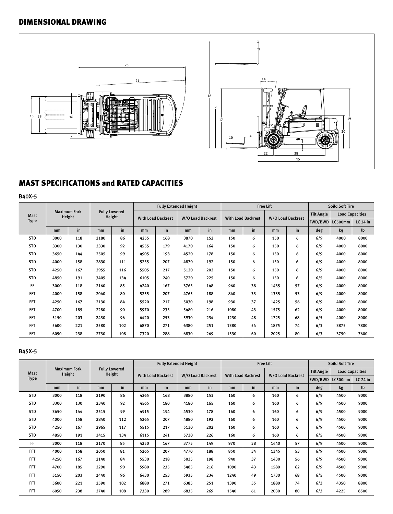### DIMENSIONAL DRAWING



## MAST SPECIFICATIONS and RATED CAPACITIES

B40X-5

|             |      |                               |      |                                |      |                           | <b>Fully Extended Height</b> |                   |      |                           | <b>Free Lift</b>  |    | <b>Soild Soft Tire</b><br><b>Tilt Angle</b><br><b>Load Capacities</b><br>FWD/BWD<br>LC500mm<br>lb<br>deg<br>kg<br>6/9<br>4000<br>6/9<br>4000<br>6/9<br>4000<br>6/9<br>4000<br>6/9<br>4000<br>6/5<br>4000<br>6/9<br>4000<br>6/9<br>4000<br>6/9<br>4000<br>6/9<br>4000<br>6/5<br>4000<br>6/3<br>3875 |      |                 |
|-------------|------|-------------------------------|------|--------------------------------|------|---------------------------|------------------------------|-------------------|------|---------------------------|-------------------|----|----------------------------------------------------------------------------------------------------------------------------------------------------------------------------------------------------------------------------------------------------------------------------------------------------|------|-----------------|
| <b>Mast</b> |      | <b>Maximum Fork</b><br>Height |      | <b>Fully Lowered</b><br>Height |      | <b>With Load Backrest</b> |                              |                   |      |                           |                   |    |                                                                                                                                                                                                                                                                                                    |      |                 |
| <b>Type</b> |      |                               |      |                                |      |                           |                              | W/O Load Backrest |      | <b>With Load Backrest</b> | W/O Load Backrest |    |                                                                                                                                                                                                                                                                                                    |      | <b>LC 24 in</b> |
|             | mm   | in                            | mm   | in                             | mm   | in                        | mm                           | in                | mm   | in                        | mm                | in |                                                                                                                                                                                                                                                                                                    |      |                 |
| <b>STD</b>  | 3000 | 118                           | 2180 | 86                             | 4255 | 168                       | 3870                         | 152               | 150  | 6                         | 150               | 6  |                                                                                                                                                                                                                                                                                                    |      | 8000            |
| <b>STD</b>  | 3300 | 130                           | 2330 | 92                             | 4555 | 179                       | 4170                         | 164               | 150  | 6                         | 150               | 6  |                                                                                                                                                                                                                                                                                                    |      | 8000            |
| <b>STD</b>  | 3650 | 144                           | 2505 | 99                             | 4905 | 193                       | 4520                         | 178               | 150  | 6                         | 150               | 6  |                                                                                                                                                                                                                                                                                                    |      | 8000            |
| <b>STD</b>  | 4000 | 158                           | 2830 | 111                            | 5255 | 207                       | 4870                         | 192               | 150  | 6                         | 150               | 6  |                                                                                                                                                                                                                                                                                                    |      | 8000            |
| <b>STD</b>  | 4250 | 167                           | 2955 | 116                            | 5505 | 217                       | 5120                         | 202               | 150  | 6                         | 150               | 6  |                                                                                                                                                                                                                                                                                                    |      | 8000            |
| <b>STD</b>  | 4850 | 191                           | 3405 | 134                            | 6105 | 240                       | 5720                         | 225               | 150  | 6                         | 150               | 6  |                                                                                                                                                                                                                                                                                                    |      | 8000            |
| FF          | 3000 | 118                           | 2160 | 85                             | 4240 | 167                       | 3765                         | 148               | 960  | 38                        | 1435              | 57 |                                                                                                                                                                                                                                                                                                    |      | 8000            |
| <b>FFT</b>  | 4000 | 158                           | 2040 | 80                             | 5255 | 207                       | 4765                         | 188               | 840  | 33                        | 1335              | 53 |                                                                                                                                                                                                                                                                                                    |      | 8000            |
| <b>FFT</b>  | 4250 | 167                           | 2130 | 84                             | 5520 | 217                       | 5030                         | 198               | 930  | 37                        | 1425              | 56 |                                                                                                                                                                                                                                                                                                    |      | 8000            |
| <b>FFT</b>  | 4700 | 185                           | 2280 | 90                             | 5970 | 235                       | 5480                         | 216               | 1080 | 43                        | 1575              | 62 |                                                                                                                                                                                                                                                                                                    |      | 8000            |
| <b>FFT</b>  | 5150 | 203                           | 2430 | 96                             | 6420 | 253                       | 5930                         | 234               | 1230 | 48                        | 1725              | 68 |                                                                                                                                                                                                                                                                                                    |      | 8000            |
| <b>FFT</b>  | 5600 | 221                           | 2580 | 102                            | 6870 | 271                       | 6380                         | 251               | 1380 | 54                        | 1875              | 74 |                                                                                                                                                                                                                                                                                                    |      | 7800            |
| <b>FFT</b>  | 6050 | 238                           | 2730 | 108                            | 7320 | 288                       | 6830                         | 269               | 1530 | 60                        | 2025              | 80 | 6/3                                                                                                                                                                                                                                                                                                | 3750 | 7600            |

#### B45X-5

|             |      |                               |      |                                |      |                           | <b>Fully Extended Height</b> |                   |      |                           | <b>Free Lift</b> |                   | <b>Soild Soft Tire</b><br><b>Load Capacities</b><br><b>LC 24 in</b><br>LC500mm<br>$1$<br>deg<br>kg<br>6/9<br>4500<br>9000<br>6/9<br>4500<br>9000<br>6/9<br>4500<br>9000 |      |      |  |
|-------------|------|-------------------------------|------|--------------------------------|------|---------------------------|------------------------------|-------------------|------|---------------------------|------------------|-------------------|-------------------------------------------------------------------------------------------------------------------------------------------------------------------------|------|------|--|
| Mast        |      | <b>Maximum Fork</b><br>Height |      | <b>Fully Lowered</b><br>Height |      | <b>With Load Backrest</b> |                              | W/O Load Backrest |      | <b>With Load Backrest</b> |                  | W/O Load Backrest | <b>Tilt Angle</b><br>FWD/BWD<br>6/9<br>4500<br>6/9<br>4500<br>6/5<br>4500<br>6/9<br>4500<br>6/9<br>4500<br>6/9<br>4500<br>6/9<br>4500<br>6/5<br>4500<br>6/3<br>4350     |      |      |  |
| <b>Type</b> |      |                               |      |                                |      |                           |                              |                   |      |                           |                  |                   |                                                                                                                                                                         |      |      |  |
|             | mm   | in                            | mm   | in                             | mm   | in                        | mm                           | in                | mm   | in                        | mm               | in                |                                                                                                                                                                         |      |      |  |
| <b>STD</b>  | 3000 | 118                           | 2190 | 86                             | 4265 | 168                       | 3880                         | 153               | 160  | 6                         | 160              | 6                 |                                                                                                                                                                         |      |      |  |
| <b>STD</b>  | 3300 | 130                           | 2340 | 92                             | 4565 | 180                       | 4180                         | 165               | 160  | 6                         | 160              | 6                 |                                                                                                                                                                         |      |      |  |
| <b>STD</b>  | 3650 | 144                           | 2515 | 99                             | 4915 | 194                       | 4530                         | 178               | 160  | 6                         | 160              | 6                 |                                                                                                                                                                         |      |      |  |
| <b>STD</b>  | 4000 | 158                           | 2840 | 112                            | 5265 | 207                       | 4880                         | 192               | 160  | 6                         | 160              | 6                 |                                                                                                                                                                         |      | 9000 |  |
| <b>STD</b>  | 4250 | 167                           | 2965 | 117                            | 5515 | 217                       | 5130                         | 202               | 160  | 6                         | 160              | 6                 |                                                                                                                                                                         |      | 9000 |  |
| <b>STD</b>  | 4850 | 191                           | 3415 | 134                            | 6115 | 241                       | 5730                         | 226               | 160  | 6                         | 160              | 6                 |                                                                                                                                                                         |      | 9000 |  |
| <b>FF</b>   | 3000 | 118                           | 2170 | 85                             | 4250 | 167                       | 3775                         | 149               | 970  | 38                        | 1440             | 57                |                                                                                                                                                                         |      | 9000 |  |
| <b>FFT</b>  | 4000 | 158                           | 2050 | 81                             | 5265 | 207                       | 4770                         | 188               | 850  | 34                        | 1345             | 53                |                                                                                                                                                                         |      | 9000 |  |
| <b>FFT</b>  | 4250 | 167                           | 2140 | 84                             | 5530 | 218                       | 5035                         | 198               | 940  | 37                        | 1430             | 56                |                                                                                                                                                                         |      | 9000 |  |
| <b>FFT</b>  | 4700 | 185                           | 2290 | 90                             | 5980 | 235                       | 5485                         | 216               | 1090 | 43                        | 1580             | 62                |                                                                                                                                                                         |      | 9000 |  |
| <b>FFT</b>  | 5150 | 203                           | 2440 | 96                             | 6430 | 253                       | 5935                         | 234               | 1240 | 49                        | 1730             | 68                |                                                                                                                                                                         |      | 9000 |  |
| <b>FFT</b>  | 5600 | 221                           | 2590 | 102                            | 6880 | 271                       | 6385                         | 251               | 1390 | 55                        | 1880             | 74                |                                                                                                                                                                         |      | 8800 |  |
| <b>FFT</b>  | 6050 | 238                           | 2740 | 108                            | 7330 | 289                       | 6835                         | 269               | 1540 | 61                        | 2030             | 80                | 6/3                                                                                                                                                                     | 4225 | 8500 |  |